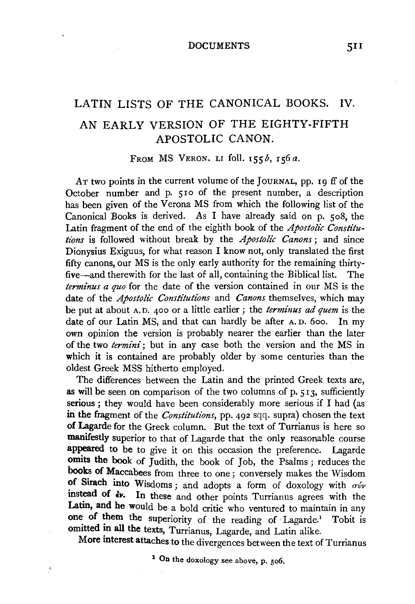## LATIN LISTS OF THE CANONICAL BOOKS. IV. AN EARLY VERSION OF THE EIGHTY-FIFTH APOSTOLIC CANON.

FROM MS VERON. LI foll. *I55b, I56a.* 

Ar two points in the current volume of the JOURNAL, pp. 19 ff of the October number and p. 510 of the present number, a description has been given of the Verona MS from which the following list of the Canonical Books is derived. As I have already said on p. so8, the Latin fragment of the end of the eighth book of the *Apostolic Constitutions* is followed without break by the *Apostolic Canons*; and since Dionysius Exiguus, for what reason I know not, only translated the first fifty canons, our MS is the only early authority for the remaining thirtyfive-and therewith for the last of all, containing the Biblical list. The *terminus a quo* for the date of the version contained in our MS is the date of the *Apostolic Constitutions* and *Canons* themselves, which may be put at about A. D. 400 or a little earlier ; the *terminus ad quem* is the date of our Latin MS, and that can hardly be after A. D. 6oo. In my own opinion the version is probably nearer the earlier than the later of the two *termini;* but in any case both the version and the MS in which it is contained are probably older by some centuries than the oldest Greek MSS hitherto employed.

The differences between the Latin and the printed Greek texts are, as will be seen on comparison of the two columns of p.  $513$ , sufficiently serious ; they would have been considerably more serious if I had (as in the fragment of the *Constitutions*, pp. 492 sqq. supra) chosen the text of Lagarde for the Greek column. But the text of Turrianus is here so manifestly superior to that of Lagarde that the only reasonable course appeared to be to give it on this occasion the preference. Lagarde omits the book of Judith, the book of Job, the Psalms; reduces the books of Maccabees from three to one; conversely makes the Wisdom of Sirach into Wisdoms; and adopts a form of doxology with  $\sigma \acute{\nu}$ instead of *dv*. In these and other points Turrianus agrees with the Latin, and he would be a bold critic who ventured to maintain in any one of them the superiority of the reading of Lagarde.<sup>1</sup> Tobit is omitted in all the texts, Turrianus, Lagarde, and Latin alike.

More interest attaches to the divergences between the text of Turrianus